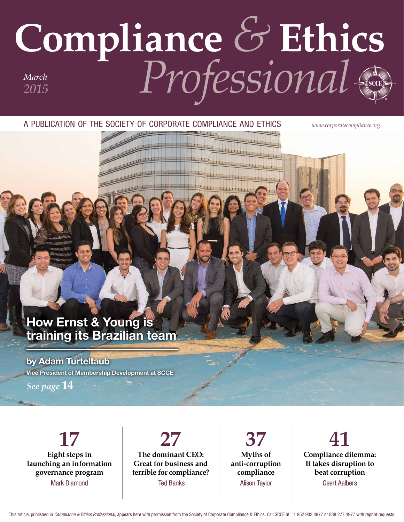# **Compliance** *&* **Ethics** *Professional March 2015*

A PUBLICATION OF THE SOCIETY OF CORPORATE COMPLIANCE AND ETHICS *www.corporatecompliance.org*

## How Ernst & Young is training its Brazilian team

### by Adam Turteltaub

Vice President of Membership Development at SCCE

*See page* **14**

**17 Eight steps in launching an information governance program** Mark Diamond

**27 The dominant CEO: Great for business and terrible for compliance?** Ted Banks

**37 Myths of anti-corruption compliance** Alison Taylor

**41 Compliance dilemma: It takes disruption to beat corruption** Geert Aalbers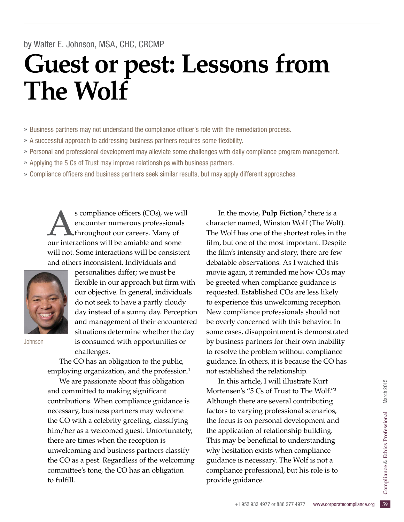### by Walter E. Johnson, MSA, CHC, CRCMP

# **Guest or pest: Lessons from The Wolf**

» Business partners may not understand the compliance officer's role with the remediation process.

- » A successful approach to addressing business partners requires some fexibility.
- » Personal and professional development may alleviate some challenges with daily compliance program management.
- » Applying the 5 Cs of Trust may improve relationships with business partners.
- » Compliance officers and business partners seek similar results, but may apply different approaches.

s compliance officers (COs), we will encounter numerous professionals throughout our careers. Many of our interactions will be amiable and some will not. Some interactions will be consistent and others inconsistent. Individuals and



personalities differ; we must be flexible in our approach but firm with our objective. In general, individuals do not seek to have a partly cloudy day instead of a sunny day. Perception and management of their encountered situations determine whether the day is consumed with opportunities or challenges.

Johnson

The CO has an obligation to the public, employing organization, and the profession.<sup>1</sup>

We are passionate about this obligation and committed to making significant contributions. When compliance guidance is necessary, business partners may welcome the CO with a celebrity greeting, classifying him/her as a welcomed guest. Unfortunately, there are times when the reception is unwelcoming and business partners classify the CO as a pest. Regardless of the welcoming committee's tone, the CO has an obligation to fulfill.

In the movie, **Pulp Fiction**,<sup>2</sup> there is a character named, Winston Wolf (The Wolf). The Wolf has one of the shortest roles in the film, but one of the most important. Despite the flm's intensity and story, there are few debatable observations. As I watched this movie again, it reminded me how COs may be greeted when compliance guidance is requested. Established COs are less likely to experience this unwelcoming reception. New compliance professionals should not be overly concerned with this behavior. In some cases, disappointment is demonstrated by business partners for their own inability to resolve the problem without compliance guidance. In others, it is because the CO has not established the relationship.

compliance professional, but his role is to<br>provide guidance.<br>+1 952 933 4977 or 888 277 4977 www.corporatecompliance.org 59 In this article, I will illustrate Kurt Mortensen's "5 Cs of Trust to The Wolf."3 Although there are several contributing factors to varying professional scenarios, the focus is on personal development and the application of relationship building. This may be beneficial to understanding why hesitation exists when compliance guidance is necessary. The Wolf is not a provide guidance.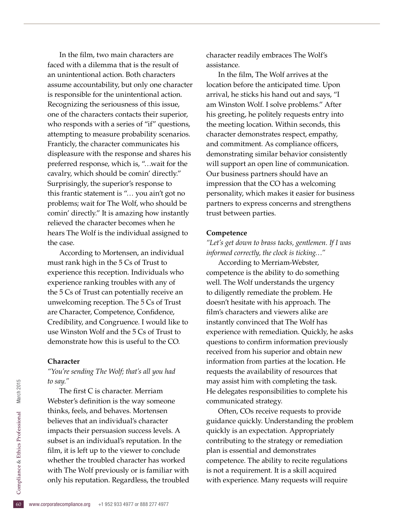In the film, two main characters are faced with a dilemma that is the result of an unintentional action. Both characters assume accountability, but only one character is responsible for the unintentional action. Recognizing the seriousness of this issue, one of the characters contacts their superior, who responds with a series of "if" questions, attempting to measure probability scenarios. Franticly, the character communicates his displeasure with the response and shares his preferred response, which is, "…wait for the cavalry, which should be comin' directly." Surprisingly, the superior's response to this frantic statement is "… you ain't got no problems; wait for The Wolf, who should be comin' directly." It is amazing how instantly relieved the character becomes when he hears The Wolf is the individual assigned to the case.

According to Mortensen, an individual must rank high in the 5 Cs of Trust to experience this reception. Individuals who experience ranking troubles with any of the 5 Cs of Trust can potentially receive an unwelcoming reception. The 5 Cs of Trust are Character, Competence, Confidence, Credibility, and Congruence. I would like to use Winston Wolf and the 5 Cs of Trust to demonstrate how this is useful to the CO.

#### **Character**

*"You're sending The Wolf; that's all you had to say."*

with The Wolf previously or is familiar with<br>
only his reputation. Regardless, the troubled<br>
E<br>
www.corporatecompliance.org +1 952 933 4977 or 888 277 4977 The first C is character. Merriam Webster's definition is the way someone thinks, feels, and behaves. Mortensen believes that an individual's character impacts their persuasion success levels. A subset is an individual's reputation. In the film, it is left up to the viewer to conclude whether the troubled character has worked only his reputation. Regardless, the troubled

character readily embraces The Wolf's assistance.

In the flm, The Wolf arrives at the location before the anticipated time. Upon arrival, he sticks his hand out and says, "I am Winston Wolf. I solve problems." After his greeting, he politely requests entry into the meeting location. Within seconds, this character demonstrates respect, empathy, and commitment. As compliance officers, demonstrating similar behavior consistently will support an open line of communication. Our business partners should have an impression that the CO has a welcoming personality, which makes it easier for business partners to express concerns and strengthens trust between parties.

#### **Competence**

*"Let's get down to brass tacks, gentlemen. If I was informed correctly, the clock is ticking…"*

According to Merriam-Webster, competence is the ability to do something well. The Wolf understands the urgency to diligently remediate the problem. He doesn't hesitate with his approach. The film's characters and viewers alike are instantly convinced that The Wolf has experience with remediation. Quickly, he asks questions to confrm information previously received from his superior and obtain new information from parties at the location. He requests the availability of resources that may assist him with completing the task. He delegates responsibilities to complete his communicated strategy.

Often, COs receive requests to provide guidance quickly. Understanding the problem quickly is an expectation. Appropriately contributing to the strategy or remediation plan is essential and demonstrates competence. The ability to recite regulations is not a requirement. It is a skill acquired with experience. Many requests will require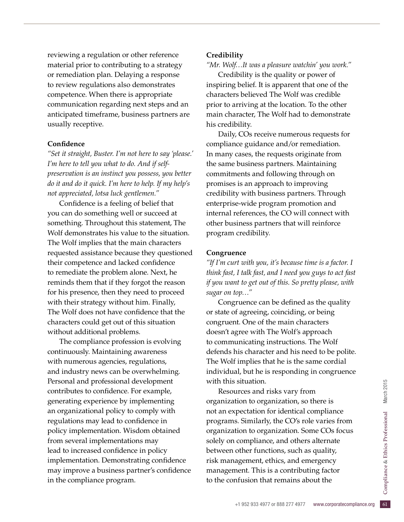reviewing a regulation or other reference material prior to contributing to a strategy or remediation plan. Delaying a response to review regulations also demonstrates competence. When there is appropriate communication regarding next steps and an anticipated timeframe, business partners are usually receptive.

#### **Confdence**

*"Set it straight, Buster. I'm not here to say 'please.' I'm here to tell you what to do. And if selfpreservation is an instinct you possess, you better do it and do it quick. I'm here to help. If my help's not appreciated, lotsa luck gentlemen."*

Confidence is a feeling of belief that you can do something well or succeed at something. Throughout this statement, The Wolf demonstrates his value to the situation. The Wolf implies that the main characters requested assistance because they questioned their competence and lacked confidence to remediate the problem alone. Next, he reminds them that if they forgot the reason for his presence, then they need to proceed with their strategy without him. Finally, The Wolf does not have confidence that the characters could get out of this situation without additional problems.

The compliance profession is evolving continuously. Maintaining awareness with numerous agencies, regulations, and industry news can be overwhelming. Personal and professional development contributes to confidence. For example, generating experience by implementing an organizational policy to comply with regulations may lead to confidence in policy implementation. Wisdom obtained from several implementations may lead to increased confidence in policy implementation. Demonstrating confidence may improve a business partner's confdence in the compliance program.

#### **Credibility**

*"Mr. Wolf…It was a pleasure watchin' you work."*

Credibility is the quality or power of inspiring belief. It is apparent that one of the characters believed The Wolf was credible prior to arriving at the location. To the other main character, The Wolf had to demonstrate his credibility.

Daily, COs receive numerous requests for compliance guidance and/or remediation. In many cases, the requests originate from the same business partners. Maintaining commitments and following through on promises is an approach to improving credibility with business partners. Through enterprise-wide program promotion and internal references, the CO will connect with other business partners that will reinforce program credibility.

#### **Congruence**

*"If I'm curt with you, it's because time is a factor. I think fast, I talk fast, and I need you guys to act fast if you want to get out of this. So pretty please, with sugar on top…"*

Congruence can be defined as the quality or state of agreeing, coinciding, or being congruent. One of the main characters doesn't agree with The Wolf's approach to communicating instructions. The Wolf defends his character and his need to be polite. The Wolf implies that he is the same cordial individual, but he is responding in congruence with this situation.

management. This is a contributing factor<br>to the confusion that remains about the<br> $+1\,952\,933\,4977\,\text{or}\,888\,277\,4977\quad \text{www.corporate} \label{eq:2.1}$ Resources and risks vary from organization to organization, so there is not an expectation for identical compliance programs. Similarly, the CO's role varies from organization to organization. Some COs focus solely on compliance, and others alternate between other functions, such as quality, risk management, ethics, and emergency to the confusion that remains about the